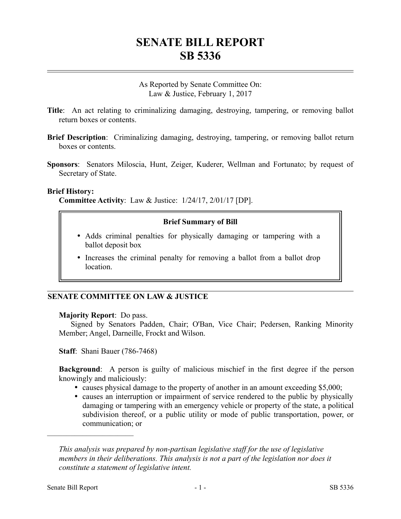# **SENATE BILL REPORT SB 5336**

As Reported by Senate Committee On: Law & Justice, February 1, 2017

- **Title**: An act relating to criminalizing damaging, destroying, tampering, or removing ballot return boxes or contents.
- **Brief Description**: Criminalizing damaging, destroying, tampering, or removing ballot return boxes or contents.
- **Sponsors**: Senators Miloscia, Hunt, Zeiger, Kuderer, Wellman and Fortunato; by request of Secretary of State.

#### **Brief History:**

**Committee Activity**: Law & Justice: 1/24/17, 2/01/17 [DP].

### **Brief Summary of Bill**

- Adds criminal penalties for physically damaging or tampering with a ballot deposit box
- Increases the criminal penalty for removing a ballot from a ballot drop location.

### **SENATE COMMITTEE ON LAW & JUSTICE**

### **Majority Report**: Do pass.

Signed by Senators Padden, Chair; O'Ban, Vice Chair; Pedersen, Ranking Minority Member; Angel, Darneille, Frockt and Wilson.

**Staff**: Shani Bauer (786-7468)

**Background**: A person is guilty of malicious mischief in the first degree if the person knowingly and maliciously:

- causes physical damage to the property of another in an amount exceeding \$5,000;
- causes an interruption or impairment of service rendered to the public by physically damaging or tampering with an emergency vehicle or property of the state, a political subdivision thereof, or a public utility or mode of public transportation, power, or communication; or

*This analysis was prepared by non-partisan legislative staff for the use of legislative members in their deliberations. This analysis is not a part of the legislation nor does it constitute a statement of legislative intent.*

––––––––––––––––––––––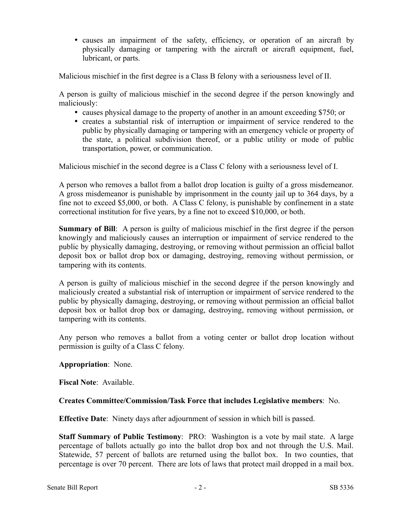causes an impairment of the safety, efficiency, or operation of an aircraft by physically damaging or tampering with the aircraft or aircraft equipment, fuel, lubricant, or parts.

Malicious mischief in the first degree is a Class B felony with a seriousness level of II.

A person is guilty of malicious mischief in the second degree if the person knowingly and maliciously:

- causes physical damage to the property of another in an amount exceeding \$750; or
- creates a substantial risk of interruption or impairment of service rendered to the public by physically damaging or tampering with an emergency vehicle or property of the state, a political subdivision thereof, or a public utility or mode of public transportation, power, or communication.

Malicious mischief in the second degree is a Class C felony with a seriousness level of I.

A person who removes a ballot from a ballot drop location is guilty of a gross misdemeanor. A gross misdemeanor is punishable by imprisonment in the county jail up to 364 days, by a fine not to exceed \$5,000, or both. A Class C felony, is punishable by confinement in a state correctional institution for five years, by a fine not to exceed \$10,000, or both.

**Summary of Bill:** A person is guilty of malicious mischief in the first degree if the person knowingly and maliciously causes an interruption or impairment of service rendered to the public by physically damaging, destroying, or removing without permission an official ballot deposit box or ballot drop box or damaging, destroying, removing without permission, or tampering with its contents.

A person is guilty of malicious mischief in the second degree if the person knowingly and maliciously created a substantial risk of interruption or impairment of service rendered to the public by physically damaging, destroying, or removing without permission an official ballot deposit box or ballot drop box or damaging, destroying, removing without permission, or tampering with its contents.

Any person who removes a ballot from a voting center or ballot drop location without permission is guilty of a Class C felony.

## **Appropriation**: None.

**Fiscal Note**: Available.

## **Creates Committee/Commission/Task Force that includes Legislative members**: No.

**Effective Date**: Ninety days after adjournment of session in which bill is passed.

**Staff Summary of Public Testimony**: PRO: Washington is a vote by mail state. A large percentage of ballots actually go into the ballot drop box and not through the U.S. Mail. Statewide, 57 percent of ballots are returned using the ballot box. In two counties, that percentage is over 70 percent. There are lots of laws that protect mail dropped in a mail box.